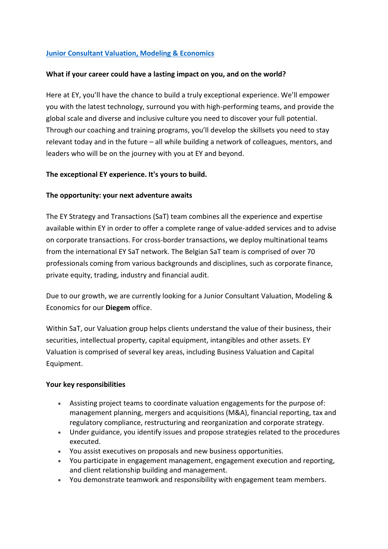# **[Junior Consultant Valuation, Modeling & Economics](https://eyglobal.yello.co/jobs/jGbzauNPdHrGZPEWn1X2gQ)**

### **What if your career could have a lasting impact on you, and on the world?**

Here at EY, you'll have the chance to build a truly exceptional experience. We'll empower you with the latest technology, surround you with high-performing teams, and provide the global scale and diverse and inclusive culture you need to discover your full potential. Through our coaching and training programs, you'll develop the skillsets you need to stay relevant today and in the future – all while building a network of colleagues, mentors, and leaders who will be on the journey with you at EY and beyond.

### **The exceptional EY experience. It's yours to build.**

### **The opportunity: your next adventure awaits**

The EY Strategy and Transactions (SaT) team combines all the experience and expertise available within EY in order to offer a complete range of value-added services and to advise on corporate transactions. For cross-border transactions, we deploy multinational teams from the international EY SaT network. The Belgian SaT team is comprised of over 70 professionals coming from various backgrounds and disciplines, such as corporate finance, private equity, trading, industry and financial audit.

Due to our growth, we are currently looking for a Junior Consultant Valuation, Modeling & Economics for our **Diegem** office.

Within SaT, our Valuation group helps clients understand the value of their business, their securities, intellectual property, capital equipment, intangibles and other assets. EY Valuation is comprised of several key areas, including Business Valuation and Capital Equipment.

#### **Your key responsibilities**

- Assisting project teams to coordinate valuation engagements for the purpose of: management planning, mergers and acquisitions (M&A), financial reporting, tax and regulatory compliance, restructuring and reorganization and corporate strategy.
- Under guidance, you identify issues and propose strategies related to the procedures executed.
- You assist executives on proposals and new business opportunities.
- You participate in engagement management, engagement execution and reporting, and client relationship building and management.
- You demonstrate teamwork and responsibility with engagement team members.